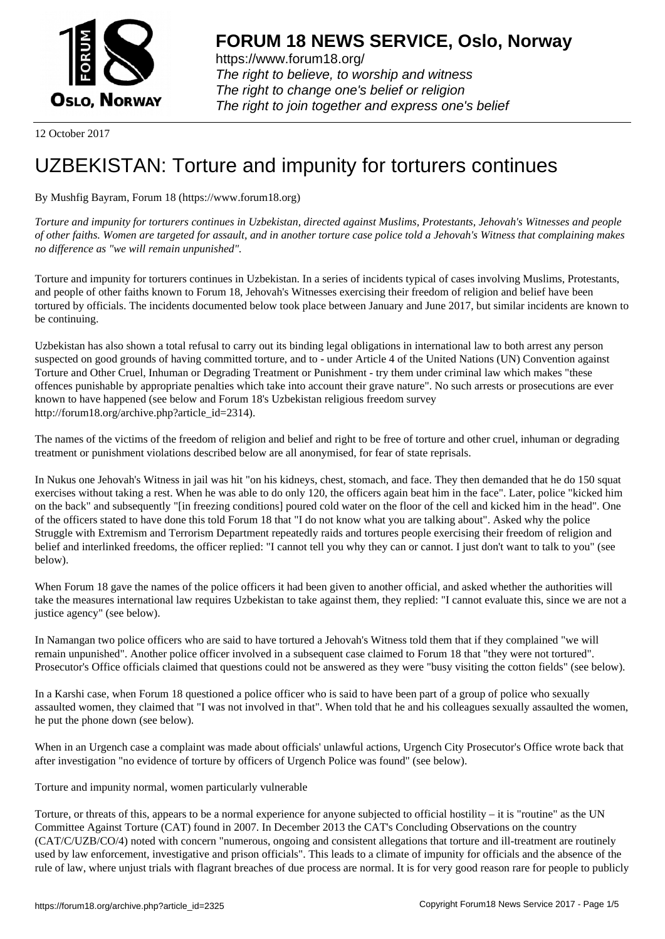

https://www.forum18.org/ The right to believe, to worship and witness The right to change one's belief or religion [The right to join together a](https://www.forum18.org/)nd express one's belief

12 October 2017

## [UZBEKISTAN:](https://www.forum18.org) Torture and impunity for torturers continues

By Mushfig Bayram, Forum 18 (https://www.forum18.org)

*Torture and impunity for torturers continues in Uzbekistan, directed against Muslims, Protestants, Jehovah's Witnesses and people of other faiths. Women are targeted for assault, and in another torture case police told a Jehovah's Witness that complaining makes no difference as "we will remain unpunished".*

Torture and impunity for torturers continues in Uzbekistan. In a series of incidents typical of cases involving Muslims, Protestants, and people of other faiths known to Forum 18, Jehovah's Witnesses exercising their freedom of religion and belief have been tortured by officials. The incidents documented below took place between January and June 2017, but similar incidents are known to be continuing.

Uzbekistan has also shown a total refusal to carry out its binding legal obligations in international law to both arrest any person suspected on good grounds of having committed torture, and to - under Article 4 of the United Nations (UN) Convention against Torture and Other Cruel, Inhuman or Degrading Treatment or Punishment - try them under criminal law which makes "these offences punishable by appropriate penalties which take into account their grave nature". No such arrests or prosecutions are ever known to have happened (see below and Forum 18's Uzbekistan religious freedom survey http://forum18.org/archive.php?article\_id=2314).

The names of the victims of the freedom of religion and belief and right to be free of torture and other cruel, inhuman or degrading treatment or punishment violations described below are all anonymised, for fear of state reprisals.

In Nukus one Jehovah's Witness in jail was hit "on his kidneys, chest, stomach, and face. They then demanded that he do 150 squat exercises without taking a rest. When he was able to do only 120, the officers again beat him in the face". Later, police "kicked him on the back" and subsequently "[in freezing conditions] poured cold water on the floor of the cell and kicked him in the head". One of the officers stated to have done this told Forum 18 that "I do not know what you are talking about". Asked why the police Struggle with Extremism and Terrorism Department repeatedly raids and tortures people exercising their freedom of religion and belief and interlinked freedoms, the officer replied: "I cannot tell you why they can or cannot. I just don't want to talk to you" (see below).

When Forum 18 gave the names of the police officers it had been given to another official, and asked whether the authorities will take the measures international law requires Uzbekistan to take against them, they replied: "I cannot evaluate this, since we are not a justice agency" (see below).

In Namangan two police officers who are said to have tortured a Jehovah's Witness told them that if they complained "we will remain unpunished". Another police officer involved in a subsequent case claimed to Forum 18 that "they were not tortured". Prosecutor's Office officials claimed that questions could not be answered as they were "busy visiting the cotton fields" (see below).

In a Karshi case, when Forum 18 questioned a police officer who is said to have been part of a group of police who sexually assaulted women, they claimed that "I was not involved in that". When told that he and his colleagues sexually assaulted the women, he put the phone down (see below).

When in an Urgench case a complaint was made about officials' unlawful actions, Urgench City Prosecutor's Office wrote back that after investigation "no evidence of torture by officers of Urgench Police was found" (see below).

Torture and impunity normal, women particularly vulnerable

Torture, or threats of this, appears to be a normal experience for anyone subjected to official hostility – it is "routine" as the UN Committee Against Torture (CAT) found in 2007. In December 2013 the CAT's Concluding Observations on the country (CAT/C/UZB/CO/4) noted with concern "numerous, ongoing and consistent allegations that torture and ill-treatment are routinely used by law enforcement, investigative and prison officials". This leads to a climate of impunity for officials and the absence of the rule of law, where unjust trials with flagrant breaches of due process are normal. It is for very good reason rare for people to publicly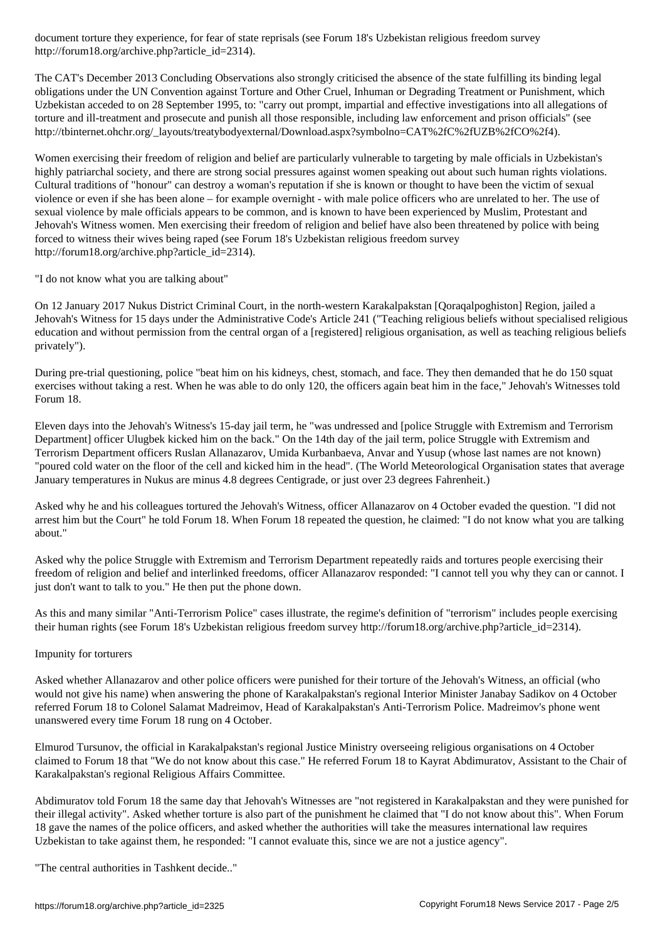http://forum18.org/archive.php?article\_id=2314).

The CAT's December 2013 Concluding Observations also strongly criticised the absence of the state fulfilling its binding legal obligations under the UN Convention against Torture and Other Cruel, Inhuman or Degrading Treatment or Punishment, which Uzbekistan acceded to on 28 September 1995, to: "carry out prompt, impartial and effective investigations into all allegations of torture and ill-treatment and prosecute and punish all those responsible, including law enforcement and prison officials" (see http://tbinternet.ohchr.org/\_layouts/treatybodyexternal/Download.aspx?symbolno=CAT%2fC%2fUZB%2fCO%2f4).

Women exercising their freedom of religion and belief are particularly vulnerable to targeting by male officials in Uzbekistan's highly patriarchal society, and there are strong social pressures against women speaking out about such human rights violations. Cultural traditions of "honour" can destroy a woman's reputation if she is known or thought to have been the victim of sexual violence or even if she has been alone – for example overnight - with male police officers who are unrelated to her. The use of sexual violence by male officials appears to be common, and is known to have been experienced by Muslim, Protestant and Jehovah's Witness women. Men exercising their freedom of religion and belief have also been threatened by police with being forced to witness their wives being raped (see Forum 18's Uzbekistan religious freedom survey http://forum18.org/archive.php?article\_id=2314).

"I do not know what you are talking about"

On 12 January 2017 Nukus District Criminal Court, in the north-western Karakalpakstan [Qoraqalpoghiston] Region, jailed a Jehovah's Witness for 15 days under the Administrative Code's Article 241 ("Teaching religious beliefs without specialised religious education and without permission from the central organ of a [registered] religious organisation, as well as teaching religious beliefs privately").

During pre-trial questioning, police "beat him on his kidneys, chest, stomach, and face. They then demanded that he do 150 squat exercises without taking a rest. When he was able to do only 120, the officers again beat him in the face," Jehovah's Witnesses told Forum 18.

Eleven days into the Jehovah's Witness's 15-day jail term, he "was undressed and [police Struggle with Extremism and Terrorism Department] officer Ulugbek kicked him on the back." On the 14th day of the jail term, police Struggle with Extremism and Terrorism Department officers Ruslan Allanazarov, Umida Kurbanbaeva, Anvar and Yusup (whose last names are not known) "poured cold water on the floor of the cell and kicked him in the head". (The World Meteorological Organisation states that average January temperatures in Nukus are minus 4.8 degrees Centigrade, or just over 23 degrees Fahrenheit.)

Asked why he and his colleagues tortured the Jehovah's Witness, officer Allanazarov on 4 October evaded the question. "I did not arrest him but the Court" he told Forum 18. When Forum 18 repeated the question, he claimed: "I do not know what you are talking about."

Asked why the police Struggle with Extremism and Terrorism Department repeatedly raids and tortures people exercising their freedom of religion and belief and interlinked freedoms, officer Allanazarov responded: "I cannot tell you why they can or cannot. I just don't want to talk to you." He then put the phone down.

As this and many similar "Anti-Terrorism Police" cases illustrate, the regime's definition of "terrorism" includes people exercising their human rights (see Forum 18's Uzbekistan religious freedom survey http://forum18.org/archive.php?article\_id=2314).

## Impunity for torturers

Asked whether Allanazarov and other police officers were punished for their torture of the Jehovah's Witness, an official (who would not give his name) when answering the phone of Karakalpakstan's regional Interior Minister Janabay Sadikov on 4 October referred Forum 18 to Colonel Salamat Madreimov, Head of Karakalpakstan's Anti-Terrorism Police. Madreimov's phone went unanswered every time Forum 18 rung on 4 October.

Elmurod Tursunov, the official in Karakalpakstan's regional Justice Ministry overseeing religious organisations on 4 October claimed to Forum 18 that "We do not know about this case." He referred Forum 18 to Kayrat Abdimuratov, Assistant to the Chair of Karakalpakstan's regional Religious Affairs Committee.

Abdimuratov told Forum 18 the same day that Jehovah's Witnesses are "not registered in Karakalpakstan and they were punished for their illegal activity". Asked whether torture is also part of the punishment he claimed that "I do not know about this". When Forum 18 gave the names of the police officers, and asked whether the authorities will take the measures international law requires Uzbekistan to take against them, he responded: "I cannot evaluate this, since we are not a justice agency".

"The central authorities in Tashkent decide.."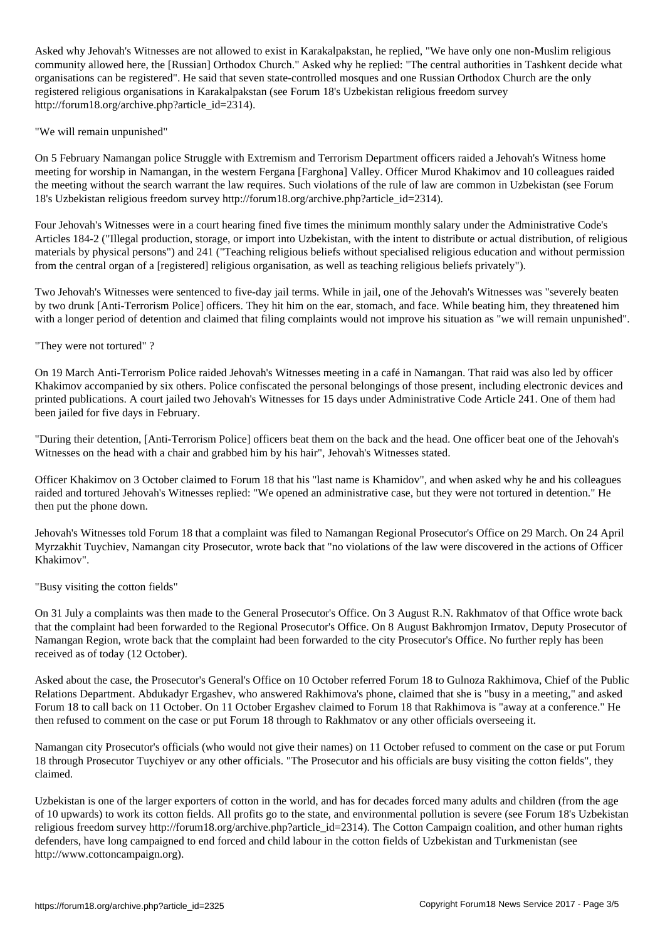Asked why Jehovah's Witnesses are not allowed to exist in Karakalpakstan, he replied, "We have only one non-Muslim religious community allowed here, the [Russian] Orthodox Church." Asked why he replied: "The central authorities in Tashkent decide what organisations can be registered". He said that seven state-controlled mosques and one Russian Orthodox Church are the only registered religious organisations in Karakalpakstan (see Forum 18's Uzbekistan religious freedom survey http://forum18.org/archive.php?article\_id=2314).

"We will remain unpunished"

On 5 February Namangan police Struggle with Extremism and Terrorism Department officers raided a Jehovah's Witness home meeting for worship in Namangan, in the western Fergana [Farghona] Valley. Officer Murod Khakimov and 10 colleagues raided the meeting without the search warrant the law requires. Such violations of the rule of law are common in Uzbekistan (see Forum 18's Uzbekistan religious freedom survey http://forum18.org/archive.php?article\_id=2314).

Four Jehovah's Witnesses were in a court hearing fined five times the minimum monthly salary under the Administrative Code's Articles 184-2 ("Illegal production, storage, or import into Uzbekistan, with the intent to distribute or actual distribution, of religious materials by physical persons") and 241 ("Teaching religious beliefs without specialised religious education and without permission from the central organ of a [registered] religious organisation, as well as teaching religious beliefs privately").

Two Jehovah's Witnesses were sentenced to five-day jail terms. While in jail, one of the Jehovah's Witnesses was "severely beaten by two drunk [Anti-Terrorism Police] officers. They hit him on the ear, stomach, and face. While beating him, they threatened him with a longer period of detention and claimed that filing complaints would not improve his situation as "we will remain unpunished".

"They were not tortured" ?

On 19 March Anti-Terrorism Police raided Jehovah's Witnesses meeting in a café in Namangan. That raid was also led by officer Khakimov accompanied by six others. Police confiscated the personal belongings of those present, including electronic devices and printed publications. A court jailed two Jehovah's Witnesses for 15 days under Administrative Code Article 241. One of them had been jailed for five days in February.

"During their detention, [Anti-Terrorism Police] officers beat them on the back and the head. One officer beat one of the Jehovah's Witnesses on the head with a chair and grabbed him by his hair", Jehovah's Witnesses stated.

Officer Khakimov on 3 October claimed to Forum 18 that his "last name is Khamidov", and when asked why he and his colleagues raided and tortured Jehovah's Witnesses replied: "We opened an administrative case, but they were not tortured in detention." He then put the phone down.

Jehovah's Witnesses told Forum 18 that a complaint was filed to Namangan Regional Prosecutor's Office on 29 March. On 24 April Myrzakhit Tuychiev, Namangan city Prosecutor, wrote back that "no violations of the law were discovered in the actions of Officer Khakimov".

"Busy visiting the cotton fields"

On 31 July a complaints was then made to the General Prosecutor's Office. On 3 August R.N. Rakhmatov of that Office wrote back that the complaint had been forwarded to the Regional Prosecutor's Office. On 8 August Bakhromjon Irmatov, Deputy Prosecutor of Namangan Region, wrote back that the complaint had been forwarded to the city Prosecutor's Office. No further reply has been received as of today (12 October).

Asked about the case, the Prosecutor's General's Office on 10 October referred Forum 18 to Gulnoza Rakhimova, Chief of the Public Relations Department. Abdukadyr Ergashev, who answered Rakhimova's phone, claimed that she is "busy in a meeting," and asked Forum 18 to call back on 11 October. On 11 October Ergashev claimed to Forum 18 that Rakhimova is "away at a conference." He then refused to comment on the case or put Forum 18 through to Rakhmatov or any other officials overseeing it.

Namangan city Prosecutor's officials (who would not give their names) on 11 October refused to comment on the case or put Forum 18 through Prosecutor Tuychiyev or any other officials. "The Prosecutor and his officials are busy visiting the cotton fields", they claimed.

Uzbekistan is one of the larger exporters of cotton in the world, and has for decades forced many adults and children (from the age of 10 upwards) to work its cotton fields. All profits go to the state, and environmental pollution is severe (see Forum 18's Uzbekistan religious freedom survey http://forum18.org/archive.php?article\_id=2314). The Cotton Campaign coalition, and other human rights defenders, have long campaigned to end forced and child labour in the cotton fields of Uzbekistan and Turkmenistan (see http://www.cottoncampaign.org).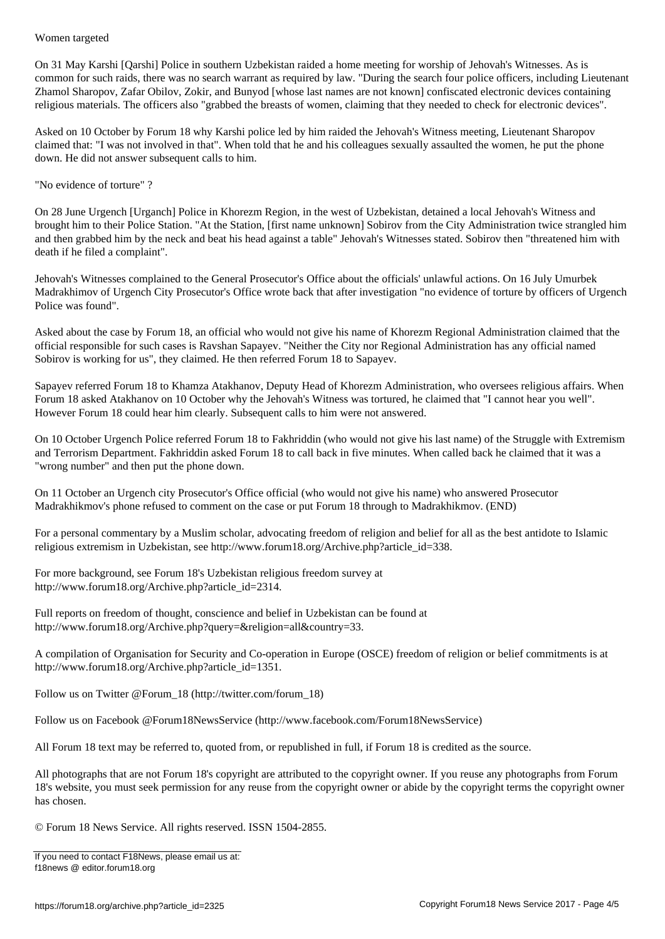On 31 May Karshi [Qarshi] Police in southern Uzbekistan raided a home meeting for worship of Jehovah's Witnesses. As is common for such raids, there was no search warrant as required by law. "During the search four police officers, including Lieutenant Zhamol Sharopov, Zafar Obilov, Zokir, and Bunyod [whose last names are not known] confiscated electronic devices containing religious materials. The officers also "grabbed the breasts of women, claiming that they needed to check for electronic devices".

Asked on 10 October by Forum 18 why Karshi police led by him raided the Jehovah's Witness meeting, Lieutenant Sharopov claimed that: "I was not involved in that". When told that he and his colleagues sexually assaulted the women, he put the phone down. He did not answer subsequent calls to him.

"No evidence of torture" ?

On 28 June Urgench [Urganch] Police in Khorezm Region, in the west of Uzbekistan, detained a local Jehovah's Witness and brought him to their Police Station. "At the Station, [first name unknown] Sobirov from the City Administration twice strangled him and then grabbed him by the neck and beat his head against a table" Jehovah's Witnesses stated. Sobirov then "threatened him with death if he filed a complaint".

Jehovah's Witnesses complained to the General Prosecutor's Office about the officials' unlawful actions. On 16 July Umurbek Madrakhimov of Urgench City Prosecutor's Office wrote back that after investigation "no evidence of torture by officers of Urgench Police was found".

Asked about the case by Forum 18, an official who would not give his name of Khorezm Regional Administration claimed that the official responsible for such cases is Ravshan Sapayev. "Neither the City nor Regional Administration has any official named Sobirov is working for us", they claimed. He then referred Forum 18 to Sapayev.

Sapayev referred Forum 18 to Khamza Atakhanov, Deputy Head of Khorezm Administration, who oversees religious affairs. When Forum 18 asked Atakhanov on 10 October why the Jehovah's Witness was tortured, he claimed that "I cannot hear you well". However Forum 18 could hear him clearly. Subsequent calls to him were not answered.

On 10 October Urgench Police referred Forum 18 to Fakhriddin (who would not give his last name) of the Struggle with Extremism and Terrorism Department. Fakhriddin asked Forum 18 to call back in five minutes. When called back he claimed that it was a "wrong number" and then put the phone down.

On 11 October an Urgench city Prosecutor's Office official (who would not give his name) who answered Prosecutor Madrakhikmov's phone refused to comment on the case or put Forum 18 through to Madrakhikmov. (END)

For a personal commentary by a Muslim scholar, advocating freedom of religion and belief for all as the best antidote to Islamic religious extremism in Uzbekistan, see http://www.forum18.org/Archive.php?article\_id=338.

For more background, see Forum 18's Uzbekistan religious freedom survey at http://www.forum18.org/Archive.php?article\_id=2314.

Full reports on freedom of thought, conscience and belief in Uzbekistan can be found at http://www.forum18.org/Archive.php?query=&religion=all&country=33.

A compilation of Organisation for Security and Co-operation in Europe (OSCE) freedom of religion or belief commitments is at http://www.forum18.org/Archive.php?article\_id=1351.

Follow us on Twitter @Forum\_18 (http://twitter.com/forum\_18)

Follow us on Facebook @Forum18NewsService (http://www.facebook.com/Forum18NewsService)

All Forum 18 text may be referred to, quoted from, or republished in full, if Forum 18 is credited as the source.

All photographs that are not Forum 18's copyright are attributed to the copyright owner. If you reuse any photographs from Forum 18's website, you must seek permission for any reuse from the copyright owner or abide by the copyright terms the copyright owner has chosen.

© Forum 18 News Service. All rights reserved. ISSN 1504-2855.

If you need to contact F18News, please email us at: f18news @ editor.forum18.org